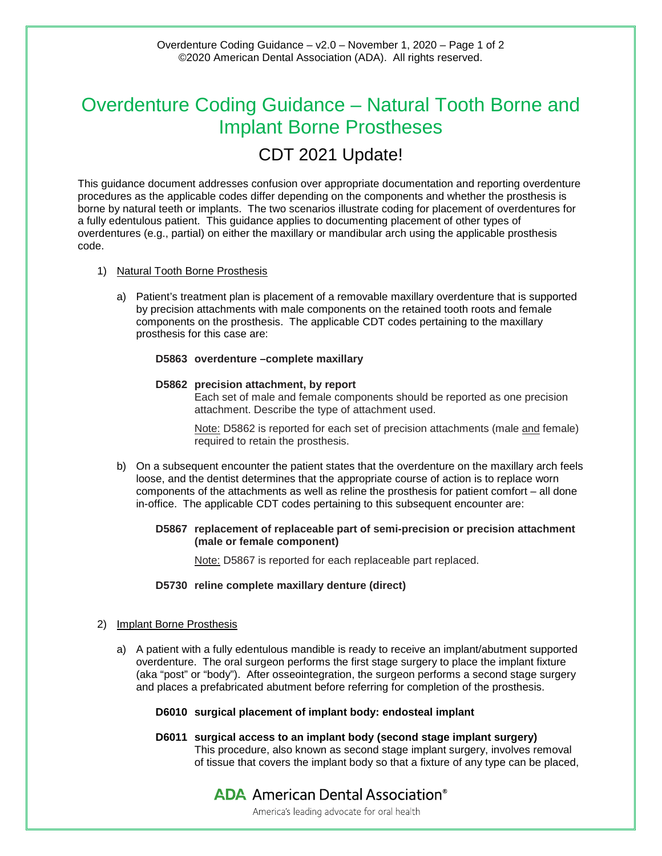# Overdenture Coding Guidance – Natural Tooth Borne and Implant Borne Prostheses

# CDT 2021 Update!

This guidance document addresses confusion over appropriate documentation and reporting overdenture procedures as the applicable codes differ depending on the components and whether the prosthesis is borne by natural teeth or implants. The two scenarios illustrate coding for placement of overdentures for a fully edentulous patient. This guidance applies to documenting placement of other types of overdentures (e.g., partial) on either the maxillary or mandibular arch using the applicable prosthesis code.

- 1) Natural Tooth Borne Prosthesis
	- a) Patient's treatment plan is placement of a removable maxillary overdenture that is supported by precision attachments with male components on the retained tooth roots and female components on the prosthesis. The applicable CDT codes pertaining to the maxillary prosthesis for this case are:

# **D5863 overdenture –complete maxillary**

# **D5862 precision attachment, by report**

Each set of male and female components should be reported as one precision attachment. Describe the type of attachment used.

Note: D5862 is reported for each set of precision attachments (male and female) required to retain the prosthesis.

b) On a subsequent encounter the patient states that the overdenture on the maxillary arch feels loose, and the dentist determines that the appropriate course of action is to replace worn components of the attachments as well as reline the prosthesis for patient comfort – all done in-office. The applicable CDT codes pertaining to this subsequent encounter are:

# **D5867 replacement of replaceable part of semi-precision or precision attachment (male or female component)**

Note: D5867 is reported for each replaceable part replaced.

# **D5730 reline complete maxillary denture (direct)**

# 2) Implant Borne Prosthesis

a) A patient with a fully edentulous mandible is ready to receive an implant/abutment supported overdenture. The oral surgeon performs the first stage surgery to place the implant fixture (aka "post" or "body"). After osseointegration, the surgeon performs a second stage surgery and places a prefabricated abutment before referring for completion of the prosthesis.

# **D6010 surgical placement of implant body: endosteal implant**

**D6011 surgical access to an implant body (second stage implant surgery)** This procedure, also known as second stage implant surgery, involves removal of tissue that covers the implant body so that a fixture of any type can be placed,

# **ADA** American Dental Association<sup>®</sup> America's leading advocate for oral health